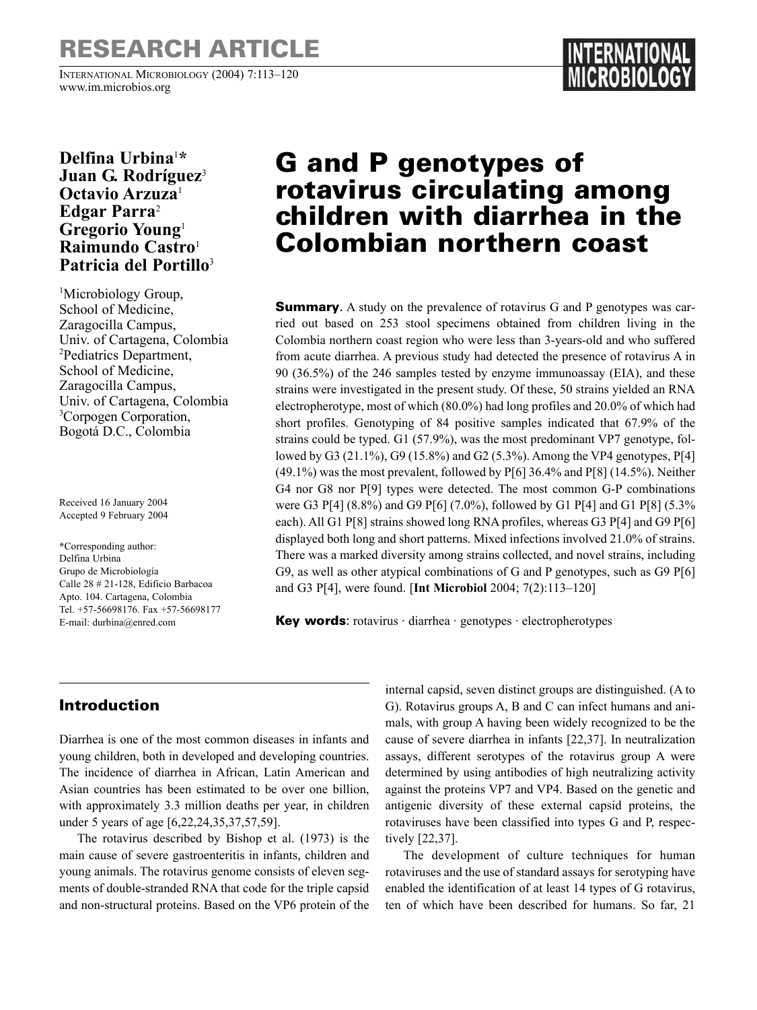# **RESEARCH ARTICLE**

INTERNATIONAL MICROBIOLOGY (2004) 7:113–120 www.im.microbios.org

### **Delfina Urbina**<sup>1</sup> **\* Juan G. Rodríguez**<sup>3</sup> **Octavio Arzuza**<sup>1</sup> **Edgar Parra**<sup>2</sup> **Gregorio Young**<sup>1</sup> **Raimundo Castro**<sup>1</sup> **Patricia del Portillo**<sup>3</sup>

<sup>1</sup>Microbiology Group, School of Medicine, Zaragocilla Campus, Univ. of Cartagena, Colombia 2 Pediatrics Department, School of Medicine, Zaragocilla Campus, Univ. of Cartagena, Colombia <sup>3</sup>Corpogen Corporation, Bogotá D.C., Colombia

Received 16 January 2004 Accepted 9 February 2004

**\***Corresponding author: Delfina Urbina Grupo de Microbiología Calle 28 # 21-128, Edificio Barbacoa Apto. 104. Cartagena, Colombia Tel. +57-56698176. Fax +57-56698177 E-mail: durbina@enred.com

# **G and P genotypes of rotavirus circulating among children with diarrhea in the Colombian northern coast**

**Summary.** A study on the prevalence of rotavirus G and P genotypes was carried out based on 253 stool specimens obtained from children living in the Colombia northern coast region who were less than 3-years-old and who suffered from acute diarrhea. A previous study had detected the presence of rotavirus A in 90 (36.5%) of the 246 samples tested by enzyme immunoassay (EIA), and these strains were investigated in the present study. Of these, 50 strains yielded an RNA electropherotype, most of which (80.0%) had long profiles and 20.0% of which had short profiles. Genotyping of 84 positive samples indicated that 67.9% of the strains could be typed. G1 (57.9%), was the most predominant VP7 genotype, followed by G3 (21.1%), G9 (15.8%) and G2 (5.3%). Among the VP4 genotypes, P[4] (49.1%) was the most prevalent, followed by P[6] 36.4% and P[8] (14.5%). Neither G4 nor G8 nor P[9] types were detected. The most common G-P combinations were G3 P[4] (8.8%) and G9 P[6] (7.0%), followed by G1 P[4] and G1 P[8] (5.3% each). All G1 P[8] strains showed long RNA profiles, whereas G3 P[4] and G9 P[6] displayed both long and short patterns. Mixed infections involved 21.0% of strains. There was a marked diversity among strains collected, and novel strains, including G9, as well as other atypical combinations of G and P genotypes, such as G9 P[6] and G3 P[4], were found. [**Int Microbiol** 2004; 7(2):113–120]

**Key words**: rotavirus · diarrhea · genotypes · electropherotypes

## **Introduction**

Diarrhea is one of the most common diseases in infants and young children, both in developed and developing countries. The incidence of diarrhea in African, Latin American and Asian countries has been estimated to be over one billion, with approximately 3.3 million deaths per year, in children under 5 years of age [6,22,24,35,37,57,59].

The rotavirus described by Bishop et al. (1973) is the main cause of severe gastroenteritis in infants, children and young animals. The rotavirus genome consists of eleven segments of double-stranded RNA that code for the triple capsid and non-structural proteins. Based on the VP6 protein of the internal capsid, seven distinct groups are distinguished. (A to G). Rotavirus groups A, B and C can infect humans and animals, with group A having been widely recognized to be the cause of severe diarrhea in infants [22,37]. In neutralization assays, different serotypes of the rotavirus group A were determined by using antibodies of high neutralizing activity against the proteins VP7 and VP4. Based on the genetic and antigenic diversity of these external capsid proteins, the rotaviruses have been classified into types G and P, respectively [22,37].

The development of culture techniques for human rotaviruses and the use of standard assays for serotyping have enabled the identification of at least 14 types of G rotavirus, ten of which have been described for humans. So far, 21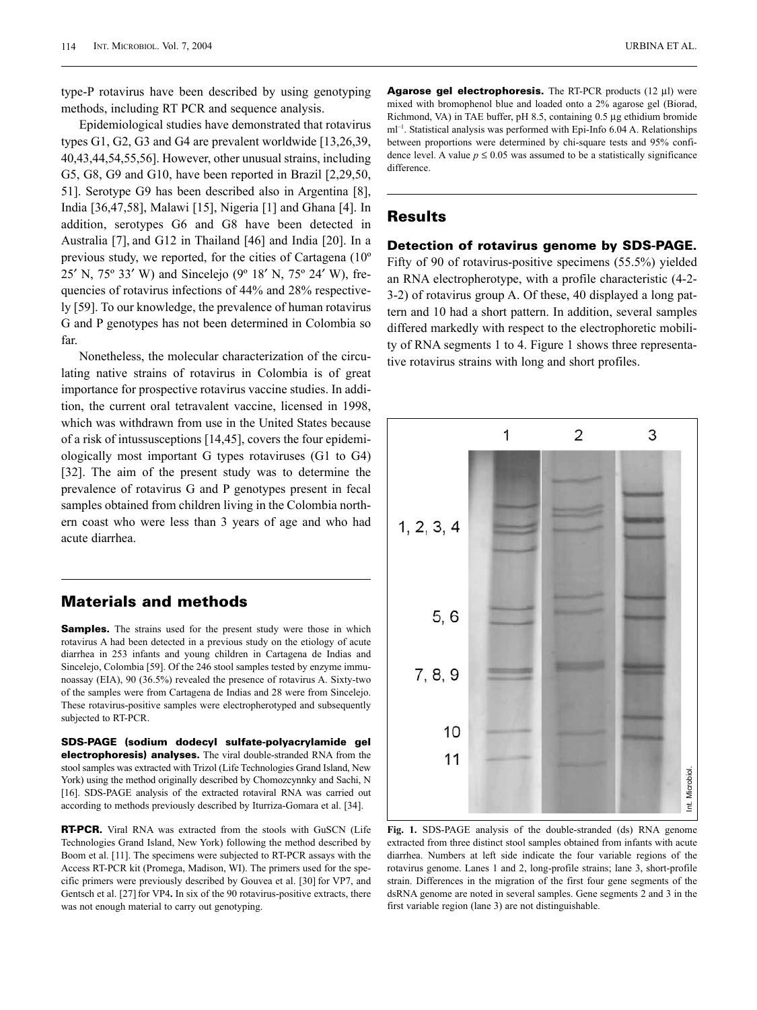type-P rotavirus have been described by using genotyping methods, including RT PCR and sequence analysis.

Epidemiological studies have demonstrated that rotavirus types G1, G2, G3 and G4 are prevalent worldwide [13,26,39, 40,43,44,54,55,56]. However, other unusual strains, including G5, G8, G9 and G10, have been reported in Brazil [2,29,50, 51]. Serotype G9 has been described also in Argentina [8], India [36,47,58], Malawi [15], Nigeria [1] and Ghana [4]. In addition, serotypes G6 and G8 have been detected in Australia [7], and G12 in Thailand [46] and India [20]. In a previous study, we reported, for the cities of Cartagena (10º 25′ N, 75º 33′ W) and Sincelejo (9º 18′ N, 75º 24′ W), frequencies of rotavirus infections of 44% and 28% respectively [59]. To our knowledge, the prevalence of human rotavirus G and P genotypes has not been determined in Colombia so far.

Nonetheless, the molecular characterization of the circulating native strains of rotavirus in Colombia is of great importance for prospective rotavirus vaccine studies. In addition, the current oral tetravalent vaccine, licensed in 1998, which was withdrawn from use in the United States because of a risk of intussusceptions [14,45], covers the four epidemiologically most important G types rotaviruses (G1 to G4) [32]. The aim of the present study was to determine the prevalence of rotavirus G and P genotypes present in fecal samples obtained from children living in the Colombia northern coast who were less than 3 years of age and who had acute diarrhea.

### **Materials and methods**

**Samples.** The strains used for the present study were those in which rotavirus A had been detected in a previous study on the etiology of acute diarrhea in 253 infants and young children in Cartagena de Indias and Sincelejo, Colombia [59]. Of the 246 stool samples tested by enzyme immunoassay (EIA), 90 (36.5%) revealed the presence of rotavirus A. Sixty-two of the samples were from Cartagena de Indias and 28 were from Sincelejo. These rotavirus-positive samples were electropherotyped and subsequently subjected to RT-PCR.

**SDS-PAGE (sodium dodecyl sulfate-polyacrylamide gel electrophoresis) analyses.** The viral double-stranded RNA from the stool samples was extracted with Trizol (Life Technologies Grand Island, New York) using the method originally described by Chomozcynnky and Sachi, N [16]. SDS-PAGE analysis of the extracted rotaviral RNA was carried out according to methods previously described by Iturriza-Gomara et al. [34].

**RT-PCR.** Viral RNA was extracted from the stools with GuSCN (Life Technologies Grand Island, New York) following the method described by Boom et al. [11]. The specimens were subjected to RT-PCR assays with the Access RT-PCR kit (Promega, Madison, WI). The primers used for the specific primers were previously described by Gouvea et al. [30] for VP7, and Gentsch et al. [27] for VP4**.** In six of the 90 rotavirus-positive extracts, there was not enough material to carry out genotyping.

**Agarose gel electrophoresis.** The RT-PCR products (12 µl) were mixed with bromophenol blue and loaded onto a 2% agarose gel (Biorad, Richmond, VA) in TAE buffer, pH 8.5, containing 0.5 µg ethidium bromide ml–1. Statistical analysis was performed with Epi-Info 6.04 A. Relationships between proportions were determined by chi-square tests and 95% confidence level. A value  $p \le 0.05$  was assumed to be a statistically significance difference.

#### **Results**

#### **Detection of rotavirus genome by SDS-PAGE.**

Fifty of 90 of rotavirus-positive specimens (55.5%) yielded an RNA electropherotype, with a profile characteristic (4-2- 3-2) of rotavirus group A. Of these, 40 displayed a long pattern and 10 had a short pattern. In addition, several samples differed markedly with respect to the electrophoretic mobility of RNA segments 1 to 4. Figure 1 shows three representative rotavirus strains with long and short profiles.

10 11 Int. Microbiol. Int. Microbiol. **Fig. 1.** SDS-PAGE analysis of the double-stranded (ds) RNA genome extracted from three distinct stool samples obtained from infants with acute diarrhea. Numbers at left side indicate the four variable regions of the rotavirus genome. Lanes 1 and 2, long-profile strains; lane 3, short-profile strain. Differences in the migration of the first four gene segments of the dsRNA genome are noted in several samples. Gene segments 2 and 3 in the first variable region (lane 3) are not distinguishable.

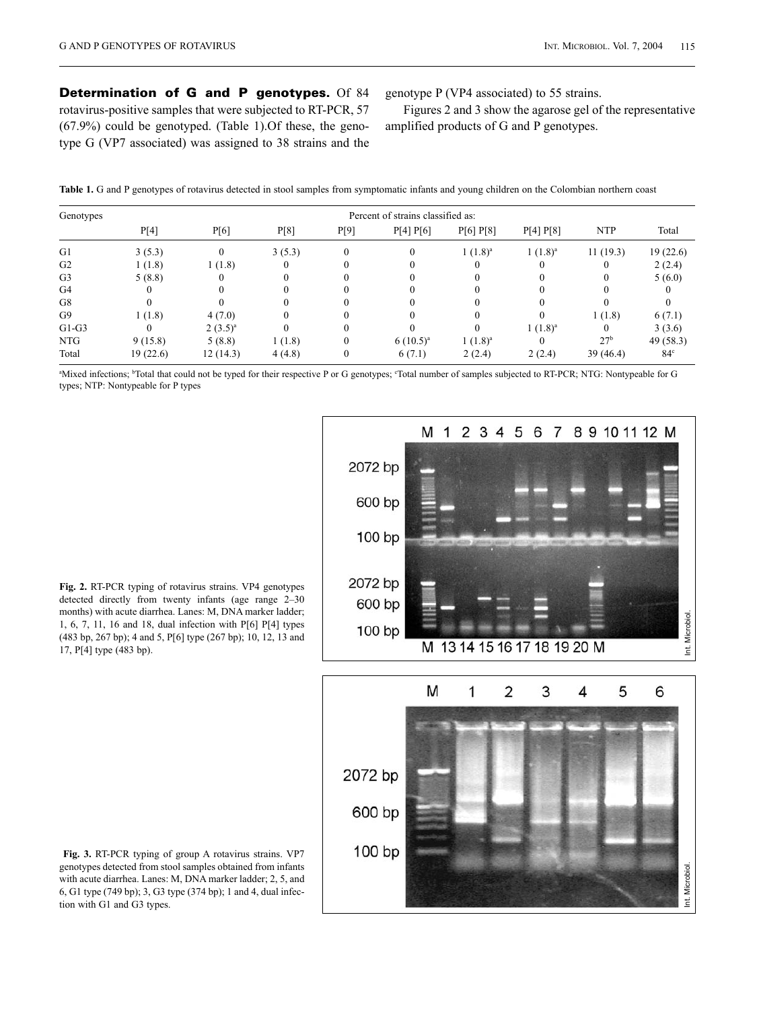**Determination of G and P genotypes.** Of 84 rotavirus-positive samples that were subjected to RT-PCR, 57 (67.9%) could be genotyped. (Table 1).Of these, the genotype G (VP7 associated) was assigned to 38 strains and the genotype P (VP4 associated) to 55 strains.

Figures 2 and 3 show the agarose gel of the representative amplified products of G and P genotypes.

| Table 1. G and P genotypes of rotavirus detected in stool samples from symptomatic infants and young children on the Colombian northern coast |  |  |  |
|-----------------------------------------------------------------------------------------------------------------------------------------------|--|--|--|
|-----------------------------------------------------------------------------------------------------------------------------------------------|--|--|--|

| Genotypes      |          | Percent of strains classified as: |        |      |               |            |            |                 |                 |  |  |  |
|----------------|----------|-----------------------------------|--------|------|---------------|------------|------------|-----------------|-----------------|--|--|--|
|                | P[4]     | P[6]                              | P[8]   | P[9] | P[4] P[6]     | P[6] P[8]  | P[4] P[8]  | <b>NTP</b>      | Total           |  |  |  |
| G1             | 3(5.3)   | $\Omega$                          | 3(5.3) |      |               | $1(1.8)^a$ | $1(1.8)^a$ | 11(19.3)        | 19(22.6)        |  |  |  |
| G <sub>2</sub> | 1(1.8)   | 1(1.8)                            |        |      |               |            |            |                 | 2(2.4)          |  |  |  |
| G <sub>3</sub> | 5(8.8)   |                                   |        |      |               |            |            |                 | 5(6.0)          |  |  |  |
| G4             |          |                                   |        |      |               |            |            |                 |                 |  |  |  |
| G8             |          |                                   |        |      |               |            |            |                 |                 |  |  |  |
| G <sub>9</sub> | 1(1.8)   | 4(7.0)                            |        |      |               |            |            | 1(1.8)          | 6(7.1)          |  |  |  |
| $G1-G3$        |          | $(3.5)^{a}$                       |        |      |               |            | $1(1.8)^a$ | $\theta$        | 3(3.6)          |  |  |  |
| <b>NTG</b>     | 9(15.8)  | 5(8.8)                            | 1(1.8) | 0    | $6(10.5)^{a}$ | $1(1.8)^a$ |            | 27 <sup>b</sup> | 49 (58.3)       |  |  |  |
| Total          | 19(22.6) | 12(14.3)                          | 4(4.8) | 0    | 6(7.1)        | 2(2.4)     | 2(2.4)     | 39 (46.4)       | 84 <sup>c</sup> |  |  |  |

"Mixed infections; <sup>b</sup>Total that could not be typed for their respective P or G genotypes; "Total number of samples subjected to RT-PCR; NTG: Nontypeable for G types; NTP: Nontypeable for P types



**Fig. 2.** RT-PCR typing of rotavirus strains. VP4 genotypes detected directly from twenty infants (age range 2–30 months) with acute diarrhea. Lanes: M, DNA marker ladder; 1, 6, 7, 11, 16 and 18, dual infection with P[6] P[4] types (483 bp, 267 bp); 4 and 5, P[6] type (267 bp); 10, 12, 13 and 17, P[4] type (483 bp).



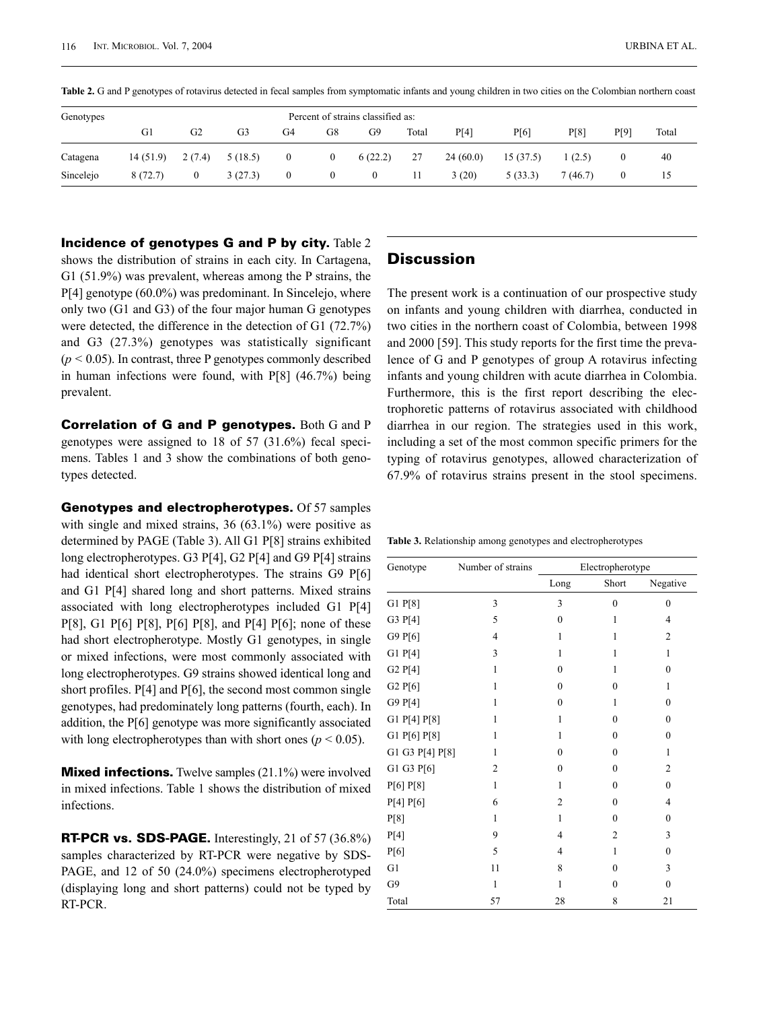| Genotypes |          | Percent of strains classified as: |                |                |              |          |       |          |          |          |      |       |
|-----------|----------|-----------------------------------|----------------|----------------|--------------|----------|-------|----------|----------|----------|------|-------|
|           | G1       | G2                                | G <sub>3</sub> | G4             | G8           | G9       | Total | P[4]     | P[6]     | P[8]     | P[9] | Total |
| Catagena  | 14(51.9) | 2(7.4)                            | 5(18.5)        | $\overline{0}$ | $\bf{0}$     | 6(22.2)  | 27    | 24(60.0) | 15(37.5) | (2.5)    |      | 40    |
| Sincelejo | 8(72.7)  | $\mathbf{0}$                      | 3(27.3)        | $\overline{0}$ | $\mathbf{0}$ | $\theta$ | 11    | 3(20)    | 5(33.3)  | 7 (46.7) |      |       |

Table 2. G and P genotypes of rotavirus detected in fecal samples from symptomatic infants and young children in two cities on the Colombian northern coast

**Incidence of genotypes G and P by city.** Table 2

shows the distribution of strains in each city. In Cartagena, G1 (51.9%) was prevalent, whereas among the P strains, the P[4] genotype (60.0%) was predominant. In Sincelejo, where only two (G1 and G3) of the four major human G genotypes were detected, the difference in the detection of G1 (72.7%) and G3 (27.3%) genotypes was statistically significant  $(p < 0.05)$ . In contrast, three P genotypes commonly described in human infections were found, with P[8] (46.7%) being prevalent.

**Correlation of G and P genotypes.** Both G and P genotypes were assigned to 18 of 57 (31.6%) fecal specimens. Tables 1 and 3 show the combinations of both genotypes detected.

**Genotypes and electropherotypes.** Of 57 samples with single and mixed strains, 36 (63.1%) were positive as determined by PAGE (Table 3). All G1 P[8] strains exhibited long electropherotypes. G3 P[4], G2 P[4] and G9 P[4] strains had identical short electropherotypes. The strains G9 P[6] and G1 P[4] shared long and short patterns. Mixed strains associated with long electropherotypes included G1 P[4] P[8], G1 P[6] P[8], P[6] P[8], and P[4] P[6]; none of these had short electropherotype. Mostly G1 genotypes, in single or mixed infections, were most commonly associated with long electropherotypes. G9 strains showed identical long and short profiles. P[4] and P[6], the second most common single genotypes, had predominately long patterns (fourth, each). In addition, the P[6] genotype was more significantly associated with long electropherotypes than with short ones ( $p < 0.05$ ).

**Mixed infections.** Twelve samples (21.1%) were involved in mixed infections. Table 1 shows the distribution of mixed infections.

**RT-PCR vs. SDS-PAGE.** Interestingly, 21 of 57 (36.8%) samples characterized by RT-PCR were negative by SDS-PAGE, and 12 of 50 (24.0%) specimens electropherotyped (displaying long and short patterns) could not be typed by RT-PCR.

#### **Discussion**

The present work is a continuation of our prospective study on infants and young children with diarrhea, conducted in two cities in the northern coast of Colombia, between 1998 and 2000 [59]. This study reports for the first time the prevalence of G and P genotypes of group A rotavirus infecting infants and young children with acute diarrhea in Colombia. Furthermore, this is the first report describing the electrophoretic patterns of rotavirus associated with childhood diarrhea in our region. The strategies used in this work, including a set of the most common specific primers for the typing of rotavirus genotypes, allowed characterization of 67.9% of rotavirus strains present in the stool specimens.

**Table 3.** Relationship among genotypes and electropherotypes

| Genotype        | Number of strains | Electropherotype |                |                  |  |  |
|-----------------|-------------------|------------------|----------------|------------------|--|--|
|                 |                   | Long             | Short          | Negative         |  |  |
| G1 P[8]         | 3                 | 3                | $\mathbf{0}$   | $\mathbf{0}$     |  |  |
| G3 P[4]         | 5                 | $\mathbf{0}$     | 1              | $\overline{4}$   |  |  |
| G9 P[6]         | $\overline{4}$    | 1                | 1              | $\overline{2}$   |  |  |
| $G1$ $P[4]$     | 3                 | 1                | 1              | 1                |  |  |
| G2 P[4]         | 1                 | $\theta$         | 1              | $\theta$         |  |  |
| G2 P[6]         | 1                 | $\theta$         | $\theta$       | 1                |  |  |
| G9 P[4]         | 1                 | $\theta$         | 1              | $\theta$         |  |  |
| G1 P[4] P[8]    | 1                 | 1                | $\theta$       | $\theta$         |  |  |
| G1 P[6] P[8]    | 1                 | 1                | $\theta$       | $\theta$         |  |  |
| G1 G3 P[4] P[8] | $\mathbf{1}$      | $\theta$         | $\theta$       | $\mathbf{1}$     |  |  |
| G1 G3 P[6]      | $\overline{2}$    | $\theta$         | $\theta$       | $\overline{2}$   |  |  |
| P[6] P[8]       | 1                 | 1                | $\mathbf{0}$   | $\boldsymbol{0}$ |  |  |
| P[4] P[6]       | 6                 | 2                | $\theta$       | 4                |  |  |
| P[8]            | 1                 | 1                | $\theta$       | $\mathbf{0}$     |  |  |
| P[4]            | 9                 | 4                | $\overline{2}$ | 3                |  |  |
| P[6]            | 5                 | 4                | 1              | $\boldsymbol{0}$ |  |  |
| G1              | 11                | 8                | $\theta$       | 3                |  |  |
| G9              | 1                 | 1                | $\theta$       | $\mathbf{0}$     |  |  |
| Total           | 57                | 28               | 8              | 21               |  |  |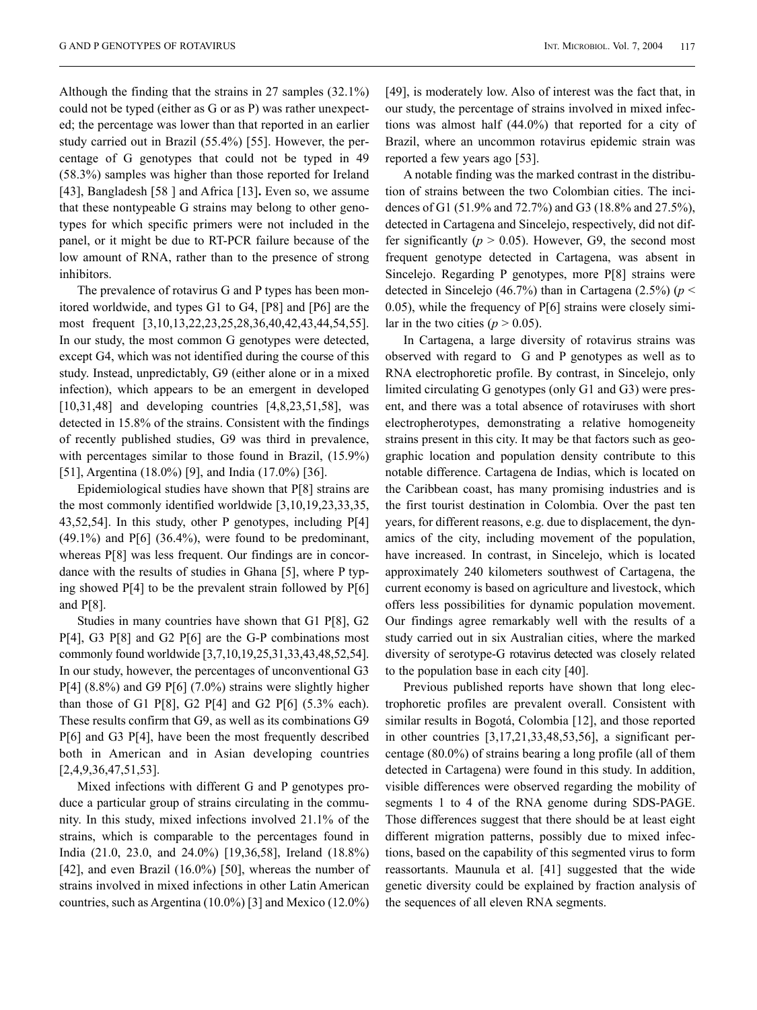Although the finding that the strains in 27 samples (32.1%) could not be typed (either as G or as P) was rather unexpected; the percentage was lower than that reported in an earlier study carried out in Brazil (55.4%) [55]. However, the percentage of G genotypes that could not be typed in 49 (58.3%) samples was higher than those reported for Ireland [43], Bangladesh [58 ] and Africa [13]**.** Even so, we assume that these nontypeable G strains may belong to other genotypes for which specific primers were not included in the panel, or it might be due to RT-PCR failure because of the low amount of RNA, rather than to the presence of strong inhibitors.

The prevalence of rotavirus G and P types has been monitored worldwide, and types G1 to G4, [P8] and [P6] are the most frequent [3,10,13,22,23,25,28,36,40,42,43,44,54,55]. In our study, the most common G genotypes were detected, except G4, which was not identified during the course of this study. Instead, unpredictably, G9 (either alone or in a mixed infection), which appears to be an emergent in developed [10,31,48] and developing countries [4,8,23,51,58], was detected in 15.8% of the strains. Consistent with the findings of recently published studies, G9 was third in prevalence, with percentages similar to those found in Brazil, (15.9%) [51], Argentina (18.0%) [9], and India (17.0%) [36].

Epidemiological studies have shown that P[8] strains are the most commonly identified worldwide [3,10,19,23,33,35, 43,52,54]. In this study, other P genotypes, including P[4]  $(49.1\%)$  and P[6]  $(36.4\%)$ , were found to be predominant, whereas  $P[8]$  was less frequent. Our findings are in concordance with the results of studies in Ghana [5], where P typing showed P[4] to be the prevalent strain followed by P[6] and P[8].

Studies in many countries have shown that G1 P[8], G2 P[4], G3 P[8] and G2 P[6] are the G-P combinations most commonly found worldwide [3,7,10,19,25,31,33,43,48,52,54]. In our study, however, the percentages of unconventional G3  $P[4]$  (8.8%) and G9 P[6] (7.0%) strains were slightly higher than those of G1 P[8], G2 P[4] and G2 P[6] (5.3% each). These results confirm that G9, as well as its combinations G9 P[6] and G3 P[4], have been the most frequently described both in American and in Asian developing countries [2,4,9,36,47,51,53].

Mixed infections with different G and P genotypes produce a particular group of strains circulating in the community. In this study, mixed infections involved 21.1% of the strains, which is comparable to the percentages found in India (21.0, 23.0, and 24.0%) [19,36,58], Ireland (18.8%) [42], and even Brazil (16.0%) [50], whereas the number of strains involved in mixed infections in other Latin American countries, such as Argentina (10.0%) [3] and Mexico (12.0%) [49], is moderately low. Also of interest was the fact that, in our study, the percentage of strains involved in mixed infections was almost half (44.0%) that reported for a city of Brazil, where an uncommon rotavirus epidemic strain was reported a few years ago [53].

A notable finding was the marked contrast in the distribution of strains between the two Colombian cities. The incidences of G1 (51.9% and 72.7%) and G3 (18.8% and 27.5%), detected in Cartagena and Sincelejo, respectively, did not differ significantly ( $p > 0.05$ ). However, G9, the second most frequent genotype detected in Cartagena, was absent in Sincelejo. Regarding P genotypes, more P[8] strains were detected in Sincelejo (46.7%) than in Cartagena (2.5%) (*p* < 0.05), while the frequency of P[6] strains were closely similar in the two cities  $(p > 0.05)$ .

In Cartagena, a large diversity of rotavirus strains was observed with regard to G and P genotypes as well as to RNA electrophoretic profile. By contrast, in Sincelejo, only limited circulating G genotypes (only G1 and G3) were present, and there was a total absence of rotaviruses with short electropherotypes, demonstrating a relative homogeneity strains present in this city. It may be that factors such as geographic location and population density contribute to this notable difference. Cartagena de Indias, which is located on the Caribbean coast, has many promising industries and is the first tourist destination in Colombia. Over the past ten years, for different reasons, e.g. due to displacement, the dynamics of the city, including movement of the population, have increased. In contrast, in Sincelejo, which is located approximately 240 kilometers southwest of Cartagena, the current economy is based on agriculture and livestock, which offers less possibilities for dynamic population movement. Our findings agree remarkably well with the results of a study carried out in six Australian cities, where the marked diversity of serotype-G rotavirus detected was closely related to the population base in each city [40].

Previous published reports have shown that long electrophoretic profiles are prevalent overall. Consistent with similar results in Bogotá, Colombia [12], and those reported in other countries [3,17,21,33,48,53,56], a significant percentage (80.0%) of strains bearing a long profile (all of them detected in Cartagena) were found in this study. In addition, visible differences were observed regarding the mobility of segments 1 to 4 of the RNA genome during SDS-PAGE. Those differences suggest that there should be at least eight different migration patterns, possibly due to mixed infections, based on the capability of this segmented virus to form reassortants. Maunula et al. [41] suggested that the wide genetic diversity could be explained by fraction analysis of the sequences of all eleven RNA segments.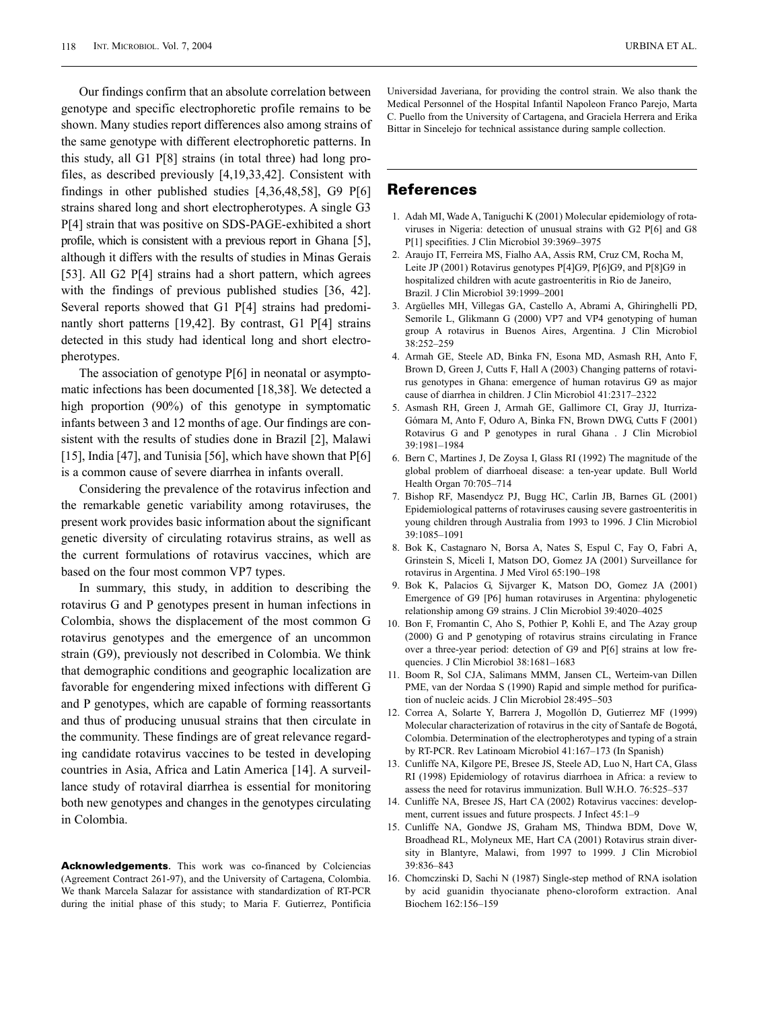Our findings confirm that an absolute correlation between genotype and specific electrophoretic profile remains to be shown. Many studies report differences also among strains of the same genotype with different electrophoretic patterns. In this study, all G1 P[8] strains (in total three) had long profiles, as described previously [4,19,33,42]. Consistent with findings in other published studies [4,36,48,58], G9 P[6] strains shared long and short electropherotypes. A single G3 P[4] strain that was positive on SDS-PAGE-exhibited a short profile, which is consistent with a previous report in Ghana [5], although it differs with the results of studies in Minas Gerais [53]. All G2 P[4] strains had a short pattern, which agrees with the findings of previous published studies [36, 42]. Several reports showed that G1 P[4] strains had predominantly short patterns [19,42]. By contrast, G1 P[4] strains detected in this study had identical long and short electropherotypes.

The association of genotype P[6] in neonatal or asymptomatic infections has been documented [18,38]. We detected a high proportion (90%) of this genotype in symptomatic infants between 3 and 12 months of age. Our findings are consistent with the results of studies done in Brazil [2], Malawi [15], India [47], and Tunisia [56], which have shown that P[6] is a common cause of severe diarrhea in infants overall.

Considering the prevalence of the rotavirus infection and the remarkable genetic variability among rotaviruses, the present work provides basic information about the significant genetic diversity of circulating rotavirus strains, as well as the current formulations of rotavirus vaccines, which are based on the four most common VP7 types.

In summary, this study, in addition to describing the rotavirus G and P genotypes present in human infections in Colombia, shows the displacement of the most common G rotavirus genotypes and the emergence of an uncommon strain (G9), previously not described in Colombia. We think that demographic conditions and geographic localization are favorable for engendering mixed infections with different G and P genotypes, which are capable of forming reassortants and thus of producing unusual strains that then circulate in the community. These findings are of great relevance regarding candidate rotavirus vaccines to be tested in developing countries in Asia, Africa and Latin America [14]. A surveillance study of rotaviral diarrhea is essential for monitoring both new genotypes and changes in the genotypes circulating in Colombia.

**Acknowledgements**. This work was co-financed by Colciencias (Agreement Contract 261-97), and the University of Cartagena, Colombia. We thank Marcela Salazar for assistance with standardization of RT-PCR during the initial phase of this study; to Maria F. Gutierrez, Pontificia

Universidad Javeriana, for providing the control strain. We also thank the Medical Personnel of the Hospital Infantil Napoleon Franco Parejo, Marta C. Puello from the University of Cartagena, and Graciela Herrera and Erika Bittar in Sincelejo for technical assistance during sample collection.

#### **References**

- 1. Adah MI, Wade A, Taniguchi K (2001) Molecular epidemiology of rotaviruses in Nigeria: detection of unusual strains with G2 P[6] and G8 P[1] specifities. J Clin Microbiol 39:3969–3975
- 2. Araujo IT, Ferreira MS, Fialho AA, Assis RM, Cruz CM, Rocha M, Leite JP (2001) Rotavirus genotypes P[4]G9, P[6]G9, and P[8]G9 in hospitalized children with acute gastroenteritis in Rio de Janeiro, Brazil. J Clin Microbiol 39:1999–2001
- 3. Argüelles MH, Villegas GA, Castello A, Abrami A, Ghiringhelli PD, Semorile L, Glikmann G (2000) VP7 and VP4 genotyping of human group A rotavirus in Buenos Aires, Argentina. J Clin Microbiol 38:252–259
- 4. Armah GE, Steele AD, Binka FN, Esona MD, Asmash RH, Anto F, Brown D, Green J, Cutts F, Hall A (2003) Changing patterns of rotavirus genotypes in Ghana: emergence of human rotavirus G9 as major cause of diarrhea in children. J Clin Microbiol 41:2317–2322
- 5. Asmash RH, Green J, Armah GE, Gallimore CI, Gray JJ, Iturriza-Gómara M, Anto F, Oduro A, Binka FN, Brown DWG, Cutts F (2001) Rotavirus G and P genotypes in rural Ghana . J Clin Microbiol 39:1981–1984
- 6. Bern C, Martines J, De Zoysa I, Glass RI (1992) The magnitude of the global problem of diarrhoeal disease: a ten-year update. Bull World Health Organ 70:705–714
- 7. Bishop RF, Masendycz PJ, Bugg HC, Carlin JB, Barnes GL (2001) Epidemiological patterns of rotaviruses causing severe gastroenteritis in young children through Australia from 1993 to 1996. J Clin Microbiol 39:1085–1091
- 8. Bok K, Castagnaro N, Borsa A, Nates S, Espul C, Fay O, Fabri A, Grinstein S, Miceli I, Matson DO, Gomez JA (2001) Surveillance for rotavirus in Argentina. J Med Virol 65:190–198
- 9. Bok K, Palacios G, Sijvarger K, Matson DO, Gomez JA (2001) Emergence of G9 [P6] human rotaviruses in Argentina: phylogenetic relationship among G9 strains. J Clin Microbiol 39:4020–4025
- 10. Bon F, Fromantin C, Aho S, Pothier P, Kohli E, and The Azay group (2000) G and P genotyping of rotavirus strains circulating in France over a three-year period: detection of G9 and P[6] strains at low frequencies. J Clin Microbiol 38:1681–1683
- 11. Boom R, Sol CJA, Salimans MMM, Jansen CL, Werteim-van Dillen PME, van der Nordaa S (1990) Rapid and simple method for purification of nucleic acids. J Clin Microbiol 28:495–503
- 12. Correa A, Solarte Y, Barrera J, Mogollón D, Gutierrez MF (1999) Molecular characterization of rotavirus in the city of Santafe de Bogotá, Colombia. Determination of the electropherotypes and typing of a strain by RT-PCR. Rev Latinoam Microbiol 41:167–173 (In Spanish)
- 13. Cunliffe NA, Kilgore PE, Bresee JS, Steele AD, Luo N, Hart CA, Glass RI (1998) Epidemiology of rotavirus diarrhoea in Africa: a review to assess the need for rotavirus immunization. Bull W.H.O. 76:525–537
- 14. Cunliffe NA, Bresee JS, Hart CA (2002) Rotavirus vaccines: development, current issues and future prospects. J Infect 45:1–9
- 15. Cunliffe NA, Gondwe JS, Graham MS, Thindwa BDM, Dove W, Broadhead RL, Molyneux ME, Hart CA (2001) Rotavirus strain diversity in Blantyre, Malawi, from 1997 to 1999. J Clin Microbiol 39:836–843
- 16. Chomczinski D, Sachi N (1987) Single-step method of RNA isolation by acid guanidin thyocianate pheno-cloroform extraction. Anal Biochem 162:156–159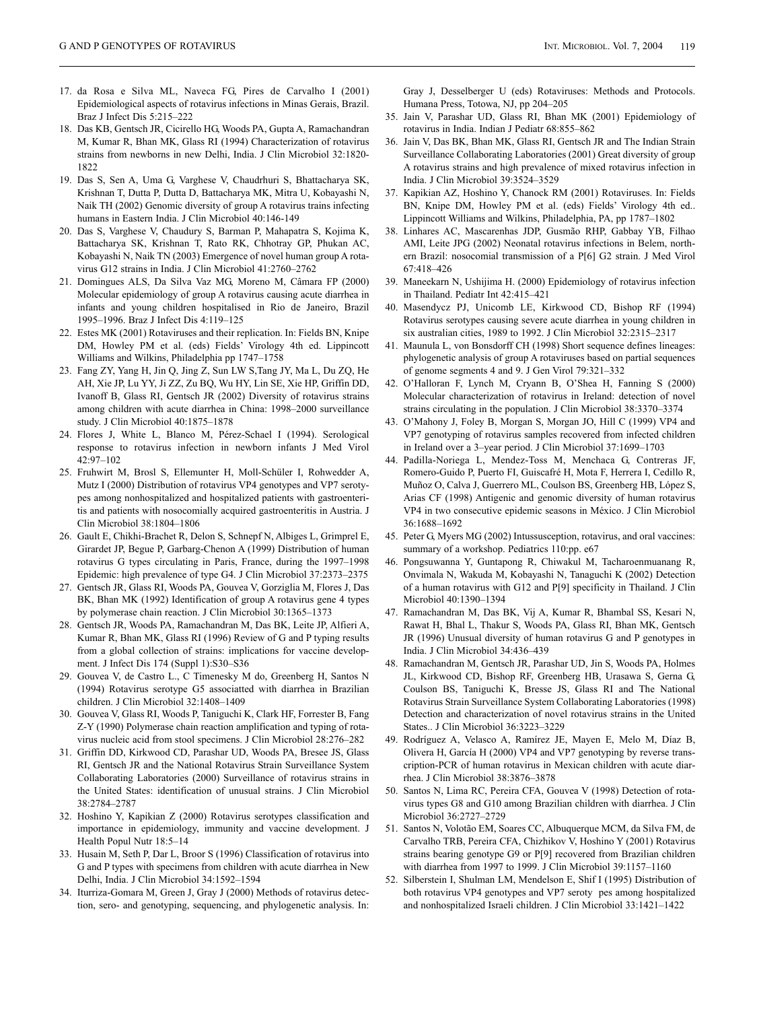- 17. da Rosa e Silva ML, Naveca FG, Pires de Carvalho I (2001) Epidemiological aspects of rotavirus infections in Minas Gerais, Brazil. Braz J Infect Dis 5:215–222
- 18. Das KB, Gentsch JR, Cicirello HG, Woods PA, Gupta A, Ramachandran M, Kumar R, Bhan MK, Glass RI (1994) Characterization of rotavirus strains from newborns in new Delhi, India. J Clin Microbiol 32:1820- 1822
- 19. Das S, Sen A, Uma G, Varghese V, Chaudrhuri S, Bhattacharya SK, Krishnan T, Dutta P, Dutta D, Battacharya MK, Mitra U, Kobayashi N, Naik TH (2002) Genomic diversity of group A rotavirus trains infecting humans in Eastern India. J Clin Microbiol 40:146-149
- 20. Das S, Varghese V, Chaudury S, Barman P, Mahapatra S, Kojima K, Battacharya SK, Krishnan T, Rato RK, Chhotray GP, Phukan AC, Kobayashi N, Naik TN (2003) Emergence of novel human group A rotavirus G12 strains in India. J Clin Microbiol 41:2760–2762
- 21. Domingues ALS, Da Silva Vaz MG, Moreno M, Câmara FP (2000) Molecular epidemiology of group A rotavirus causing acute diarrhea in infants and young children hospitalised in Rio de Janeiro, Brazil 1995–1996. Braz J Infect Dis 4:119–125
- 22. Estes MK (2001) Rotaviruses and their replication. In: Fields BN, Knipe DM, Howley PM et al. (eds) Fields' Virology 4th ed. Lippincott Williams and Wilkins, Philadelphia pp 1747–1758
- 23. Fang ZY, Yang H, Jin Q, Jing Z, Sun LW S,Tang JY, Ma L, Du ZQ, He AH, Xie JP, Lu YY, Ji ZZ, Zu BQ, Wu HY, Lin SE, Xie HP, Griffin DD, Ivanoff B, Glass RI, Gentsch JR (2002) Diversity of rotavirus strains among children with acute diarrhea in China: 1998–2000 surveillance study. J Clin Microbiol 40:1875–1878
- 24. Flores J, White L, Blanco M, Pérez-Schael I (1994). Serological response to rotavirus infection in newborn infants J Med Virol 42:97–102
- 25. Fruhwirt M, Brosl S, Ellemunter H, Moll-Schüler I, Rohwedder A, Mutz I (2000) Distribution of rotavirus VP4 genotypes and VP7 serotypes among nonhospitalized and hospitalized patients with gastroenteritis and patients with nosocomially acquired gastroenteritis in Austria. J Clin Microbiol 38:1804–1806
- 26. Gault E, Chikhi-Brachet R, Delon S, Schnepf N, Albiges L, Grimprel E, Girardet JP, Begue P, Garbarg-Chenon A (1999) Distribution of human rotavirus G types circulating in Paris, France, during the 1997–1998 Epidemic: high prevalence of type G4. J Clin Microbiol 37:2373–2375
- 27. Gentsch JR, Glass RI, Woods PA, Gouvea V, Gorziglia M, Flores J, Das BK, Bhan MK (1992) Identification of group A rotavirus gene 4 types by polymerase chain reaction. J Clin Microbiol 30:1365–1373
- 28. Gentsch JR, Woods PA, Ramachandran M, Das BK, Leite JP, Alfieri A, Kumar R, Bhan MK, Glass RI (1996) Review of G and P typing results from a global collection of strains: implications for vaccine development. J Infect Dis 174 (Suppl 1):S30–S36
- 29. Gouvea V, de Castro L., C Timenesky M do, Greenberg H, Santos N (1994) Rotavirus serotype G5 associatted with diarrhea in Brazilian children. J Clin Microbiol 32:1408–1409
- 30. Gouvea V, Glass RI, Woods P, Taniguchi K, Clark HF, Forrester B, Fang Z-Y (1990) Polymerase chain reaction amplification and typing of rotavirus nucleic acid from stool specimens. J Clin Microbiol 28:276–282
- 31. Griffin DD, Kirkwood CD, Parashar UD, Woods PA, Bresee JS, Glass RI, Gentsch JR and the National Rotavirus Strain Surveillance System Collaborating Laboratories (2000) Surveillance of rotavirus strains in the United States: identification of unusual strains. J Clin Microbiol 38:2784–2787
- 32. Hoshino Y, Kapikian Z (2000) Rotavirus serotypes classification and importance in epidemiology, immunity and vaccine development. J Health Popul Nutr 18:5–14
- 33. Husain M, Seth P, Dar L, Broor S (1996) Classification of rotavirus into G and P types with specimens from children with acute diarrhea in New Delhi, India. J Clin Microbiol 34:1592–1594
- 34. Iturriza-Gomara M, Green J, Gray J (2000) Methods of rotavirus detection, sero- and genotyping, sequencing, and phylogenetic analysis. In:

Gray J, Desselberger U (eds) Rotaviruses: Methods and Protocols. Humana Press, Totowa, NJ, pp 204–205

- 35. Jain V, Parashar UD, Glass RI, Bhan MK (2001) Epidemiology of rotavirus in India. Indian J Pediatr 68:855–862
- 36. Jain V, Das BK, Bhan MK, Glass RI, Gentsch JR and The Indian Strain Surveillance Collaborating Laboratories (2001) Great diversity of group A rotavirus strains and high prevalence of mixed rotavirus infection in India. J Clin Microbiol 39:3524–3529
- 37. Kapikian AZ, Hoshino Y, Chanock RM (2001) Rotaviruses. In: Fields BN, Knipe DM, Howley PM et al. (eds) Fields' Virology 4th ed.. Lippincott Williams and Wilkins, Philadelphia, PA, pp 1787–1802
- 38. Linhares AC, Mascarenhas JDP, Gusmão RHP, Gabbay YB, Filhao AMI, Leite JPG (2002) Neonatal rotavirus infections in Belem, northern Brazil: nosocomial transmission of a P[6] G2 strain. J Med Virol 67:418–426
- 39. Maneekarn N, Ushijima H. (2000) Epidemiology of rotavirus infection in Thailand. Pediatr Int 42:415–421
- 40. Masendycz PJ, Unicomb LE, Kirkwood CD, Bishop RF (1994) Rotavirus serotypes causing severe acute diarrhea in young children in six australian cities, 1989 to 1992. J Clin Microbiol 32:2315–2317
- 41. Maunula L, von Bonsdorff CH (1998) Short sequence defines lineages: phylogenetic analysis of group A rotaviruses based on partial sequences of genome segments 4 and 9. J Gen Virol 79:321–332
- 42. O'Halloran F, Lynch M, Cryann B, O'Shea H, Fanning S (2000) Molecular characterization of rotavirus in Ireland: detection of novel strains circulating in the population. J Clin Microbiol 38:3370–3374
- 43. O'Mahony J, Foley B, Morgan S, Morgan JO, Hill C (1999) VP4 and VP7 genotyping of rotavirus samples recovered from infected children in Ireland over a 3–year period. J Clin Microbiol 37:1699–1703
- 44. Padilla-Noriega L, Mendez-Toss M, Menchaca G, Contreras JF, Romero-Guido P, Puerto FI, Guiscafré H, Mota F, Herrera I, Cedillo R, Muñoz O, Calva J, Guerrero ML, Coulson BS, Greenberg HB, López S, Arias CF (1998) Antigenic and genomic diversity of human rotavirus VP4 in two consecutive epidemic seasons in México. J Clin Microbiol 36:1688–1692
- 45. Peter G, Myers MG (2002) Intussusception, rotavirus, and oral vaccines: summary of a workshop. Pediatrics 110:pp. e67
- 46. Pongsuwanna Y, Guntapong R, Chiwakul M, Tacharoenmuanang R, Onvimala N, Wakuda M, Kobayashi N, Tanaguchi K (2002) Detection of a human rotavirus with G12 and P[9] specificity in Thailand. J Clin Microbiol 40:1390–1394
- 47. Ramachandran M, Das BK, Vij A, Kumar R, Bhambal SS, Kesari N, Rawat H, Bhal L, Thakur S, Woods PA, Glass RI, Bhan MK, Gentsch JR (1996) Unusual diversity of human rotavirus G and P genotypes in India. J Clin Microbiol 34:436–439
- 48. Ramachandran M, Gentsch JR, Parashar UD, Jin S, Woods PA, Holmes JL, Kirkwood CD, Bishop RF, Greenberg HB, Urasawa S, Gerna G, Coulson BS, Taniguchi K, Bresse JS, Glass RI and The National Rotavirus Strain Surveillance System Collaborating Laboratories (1998) Detection and characterization of novel rotavirus strains in the United States.. J Clin Microbiol 36:3223–3229
- 49. Rodríguez A, Velasco A, Ramírez JE, Mayen E, Melo M, Díaz B, Olivera H, García H (2000) VP4 and VP7 genotyping by reverse transcription-PCR of human rotavirus in Mexican children with acute diarrhea. J Clin Microbiol 38:3876–3878
- 50. Santos N, Lima RC, Pereira CFA, Gouvea V (1998) Detection of rotavirus types G8 and G10 among Brazilian children with diarrhea. J Clin Microbiol 36:2727–2729
- 51. Santos N, Volotão EM, Soares CC, Albuquerque MCM, da Silva FM, de Carvalho TRB, Pereira CFA, Chizhikov V, Hoshino Y (2001) Rotavirus strains bearing genotype G9 or P[9] recovered from Brazilian children with diarrhea from 1997 to 1999. J Clin Microbiol 39:1157–1160
- 52. Silberstein I, Shulman LM, Mendelson E, Shif I (1995) Distribution of both rotavirus VP4 genotypes and VP7 seroty pes among hospitalized and nonhospitalized Israeli children. J Clin Microbiol 33:1421–1422